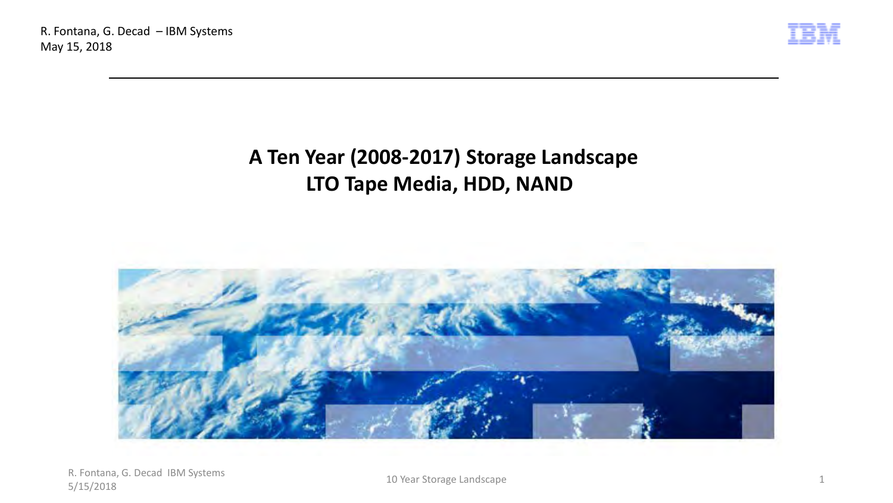

# **A Ten Year (2008-2017) Storage Landscape LTO Tape Media, HDD, NAND**

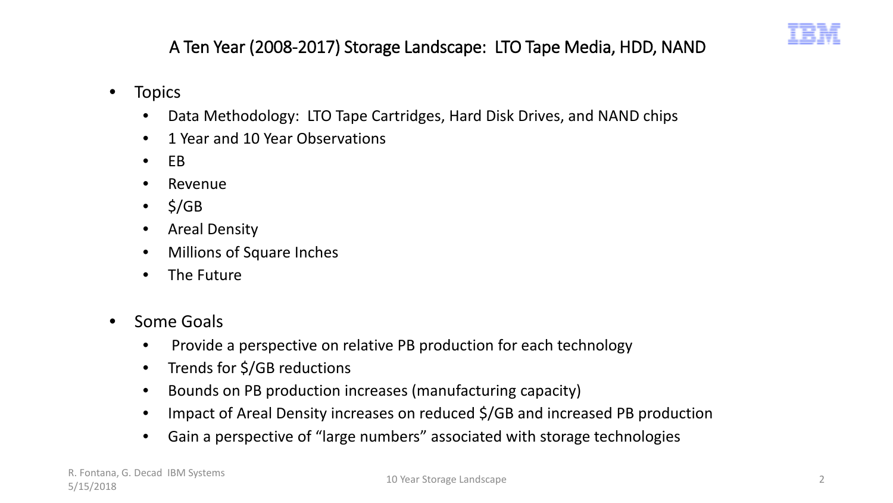

A Ten Year (2008-2017) Storage Landscape: LTO Tape Media, HDD, NAND

- Topics
	- Data Methodology: LTO Tape Cartridges, Hard Disk Drives, and NAND chips
	- 1 Year and 10 Year Observations
	- EB
	- **Revenue**
	- $\bullet$  \$/GB
	- Areal Density
	- Millions of Square Inches
	- The Future
- Some Goals
	- Provide a perspective on relative PB production for each technology
	- Trends for \$/GB reductions
	- Bounds on PB production increases (manufacturing capacity)
	- Impact of Areal Density increases on reduced \$/GB and increased PB production
	- Gain a perspective of "large numbers" associated with storage technologies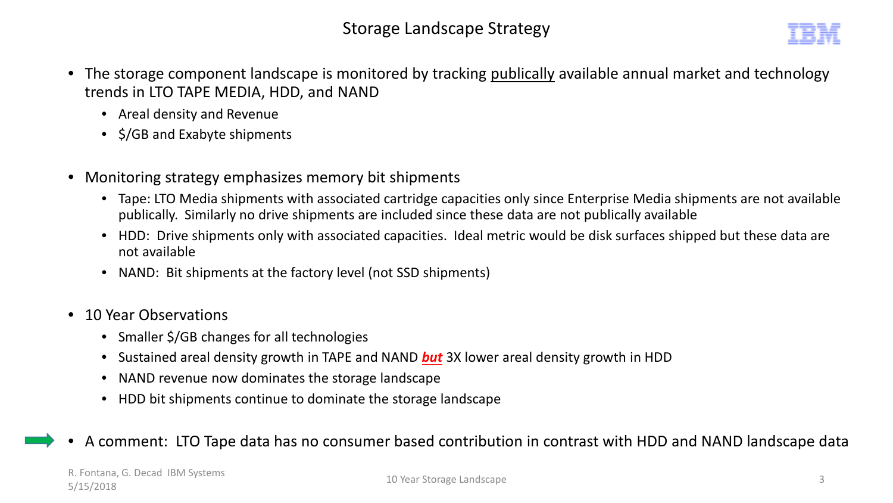- The storage component landscape is monitored by tracking publically available annual market and technology trends in LTO TAPE MEDIA, HDD, and NAND
	- Areal density and Revenue
	- \$/GB and Exabyte shipments
- Monitoring strategy emphasizes memory bit shipments
	- Tape: LTO Media shipments with associated cartridge capacities only since Enterprise Media shipments are not available publically. Similarly no drive shipments are included since these data are not publically available
	- HDD: Drive shipments only with associated capacities. Ideal metric would be disk surfaces shipped but these data are not available
	- NAND: Bit shipments at the factory level (not SSD shipments)
- 10 Year Observations
	- Smaller \$/GB changes for all technologies
	- Sustained areal density growth in TAPE and NAND *but* 3X lower areal density growth in HDD
	- NAND revenue now dominates the storage landscape
	- HDD bit shipments continue to dominate the storage landscape

## • A comment: LTO Tape data has no consumer based contribution in contrast with HDD and NAND landscape data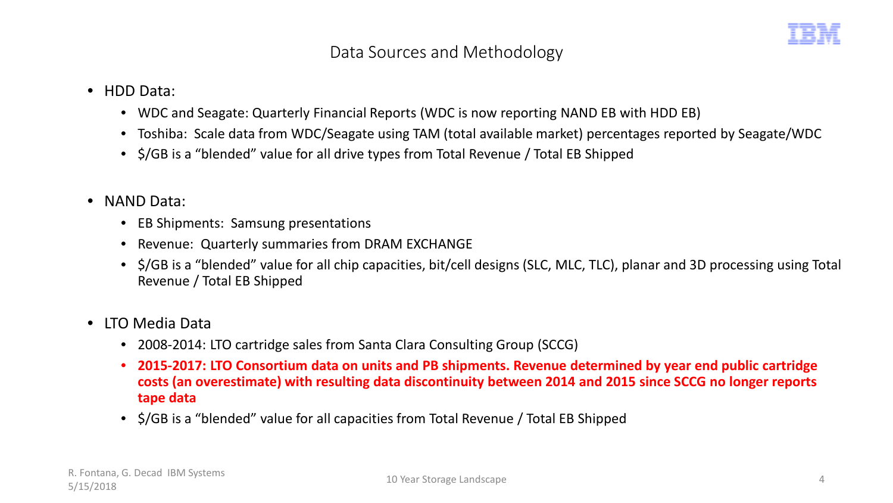## Data Sources and Methodology

- HDD Data:
	- WDC and Seagate: Quarterly Financial Reports (WDC is now reporting NAND EB with HDD EB)
	- Toshiba: Scale data from WDC/Seagate using TAM (total available market) percentages reported by Seagate/WDC
	- \$/GB is a "blended" value for all drive types from Total Revenue / Total EB Shipped
- NAND Data:
	- EB Shipments: Samsung presentations
	- Revenue: Quarterly summaries from DRAM EXCHANGE
	- \$/GB is a "blended" value for all chip capacities, bit/cell designs (SLC, MLC, TLC), planar and 3D processing using Total Revenue / Total EB Shipped
- LTO Media Data
	- 2008-2014: LTO cartridge sales from Santa Clara Consulting Group (SCCG)
	- **2015-2017: LTO Consortium data on units and PB shipments. Revenue determined by year end public cartridge costs (an overestimate) with resulting data discontinuity between 2014 and 2015 since SCCG no longer reports tape data**
	- \$/GB is a "blended" value for all capacities from Total Revenue / Total EB Shipped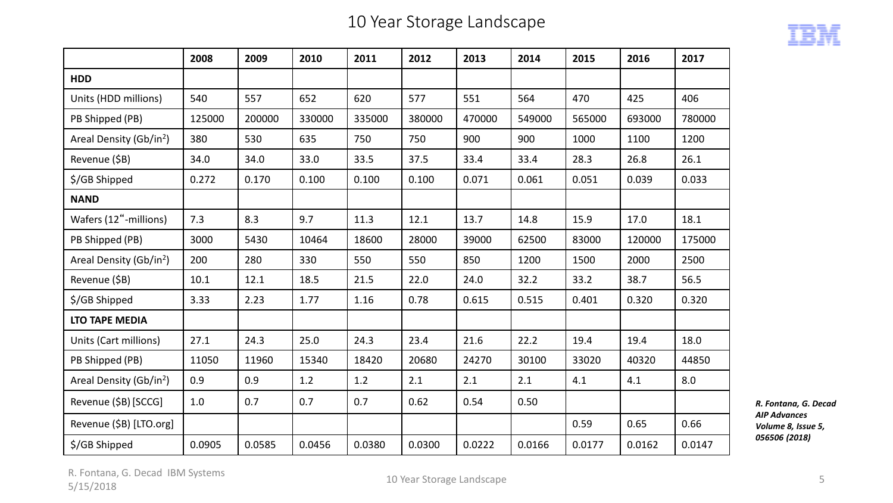## 10 Year Storage Landscape



|                                     | 2008   | 2009   | 2010   | 2011   | 2012   | 2013   | 2014   | 2015   | 2016   | 2017   |
|-------------------------------------|--------|--------|--------|--------|--------|--------|--------|--------|--------|--------|
| <b>HDD</b>                          |        |        |        |        |        |        |        |        |        |        |
| Units (HDD millions)                | 540    | 557    | 652    | 620    | 577    | 551    | 564    | 470    | 425    | 406    |
| PB Shipped (PB)                     | 125000 | 200000 | 330000 | 335000 | 380000 | 470000 | 549000 | 565000 | 693000 | 780000 |
| Areal Density (Gb/in <sup>2</sup> ) | 380    | 530    | 635    | 750    | 750    | 900    | 900    | 1000   | 1100   | 1200   |
| Revenue (\$B)                       | 34.0   | 34.0   | 33.0   | 33.5   | 37.5   | 33.4   | 33.4   | 28.3   | 26.8   | 26.1   |
| \$/GB Shipped                       | 0.272  | 0.170  | 0.100  | 0.100  | 0.100  | 0.071  | 0.061  | 0.051  | 0.039  | 0.033  |
| <b>NAND</b>                         |        |        |        |        |        |        |        |        |        |        |
| Wafers (12"-millions)               | 7.3    | 8.3    | 9.7    | 11.3   | 12.1   | 13.7   | 14.8   | 15.9   | 17.0   | 18.1   |
| PB Shipped (PB)                     | 3000   | 5430   | 10464  | 18600  | 28000  | 39000  | 62500  | 83000  | 120000 | 175000 |
| Areal Density (Gb/in <sup>2</sup> ) | 200    | 280    | 330    | 550    | 550    | 850    | 1200   | 1500   | 2000   | 2500   |
| Revenue (\$B)                       | 10.1   | 12.1   | 18.5   | 21.5   | 22.0   | 24.0   | 32.2   | 33.2   | 38.7   | 56.5   |
| \$/GB Shipped                       | 3.33   | 2.23   | 1.77   | 1.16   | 0.78   | 0.615  | 0.515  | 0.401  | 0.320  | 0.320  |
| <b>LTO TAPE MEDIA</b>               |        |        |        |        |        |        |        |        |        |        |
| Units (Cart millions)               | 27.1   | 24.3   | 25.0   | 24.3   | 23.4   | 21.6   | 22.2   | 19.4   | 19.4   | 18.0   |
| PB Shipped (PB)                     | 11050  | 11960  | 15340  | 18420  | 20680  | 24270  | 30100  | 33020  | 40320  | 44850  |
| Areal Density (Gb/in <sup>2</sup> ) | 0.9    | 0.9    | 1.2    | 1.2    | 2.1    | 2.1    | 2.1    | 4.1    | 4.1    | 8.0    |
| Revenue (\$B) [SCCG]                | 1.0    | 0.7    | 0.7    | 0.7    | 0.62   | 0.54   | 0.50   |        |        |        |
| Revenue (\$B) [LTO.org]             |        |        |        |        |        |        |        | 0.59   | 0.65   | 0.66   |
| \$/GB Shipped                       | 0.0905 | 0.0585 | 0.0456 | 0.0380 | 0.0300 | 0.0222 | 0.0166 | 0.0177 | 0.0162 | 0.0147 |

*R. Fontana, G. Decad AIP Advances Volume 8, Issue 5, 056506 (2018)*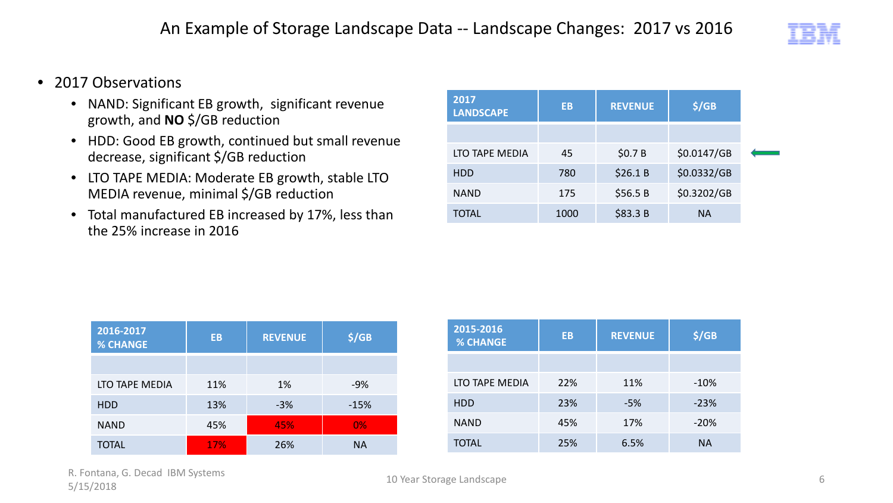

- 2017 Observations
	- NAND: Significant EB growth, significant revenue growth, and **NO** \$/GB reduction
	- HDD: Good EB growth, continued but small revenue decrease, significant \$/GB reduction
	- LTO TAPE MEDIA: Moderate EB growth, stable LTO MEDIA revenue, minimal \$/GB reduction
	- Total manufactured EB increased by 17%, less than the 25% increase in 2016

| 2017<br><b>LANDSCAPE</b> | EB   | <b>REVENUE</b> | \$/GB       |
|--------------------------|------|----------------|-------------|
|                          |      |                |             |
| LTO TAPE MEDIA           | 45   | \$0.7 B        | \$0.0147/GB |
| <b>HDD</b>               | 780  | \$26.1B        | \$0.0332/GB |
| <b>NAND</b>              | 175  | \$56.5B        | \$0.3202/GB |
| TOTAL                    | 1000 | \$83.3 B       | <b>NA</b>   |

| 2016-2017<br><b>% CHANGE</b> | <b>EB</b> | <b>REVENUE</b> | \$/GB     |
|------------------------------|-----------|----------------|-----------|
|                              |           |                |           |
| LTO TAPE MEDIA               | 11%       | 1%             | $-9%$     |
| <b>HDD</b>                   | 13%       | $-3%$          | $-15%$    |
| <b>NAND</b>                  | 45%       | 45%            | 0%        |
| TOTAL                        | 17%       | 26%            | <b>NA</b> |

| 2015-2016<br><b>% CHANGE</b> | EB  | <b>REVENUE</b> | \$/GB     |
|------------------------------|-----|----------------|-----------|
|                              |     |                |           |
| LTO TAPE MEDIA               | 22% | 11%            | $-10%$    |
| <b>HDD</b>                   | 23% | -5%            | $-23%$    |
| <b>NAND</b>                  | 45% | 17%            | $-20%$    |
| <b>TOTAL</b>                 | 25% | 6.5%           | <b>NA</b> |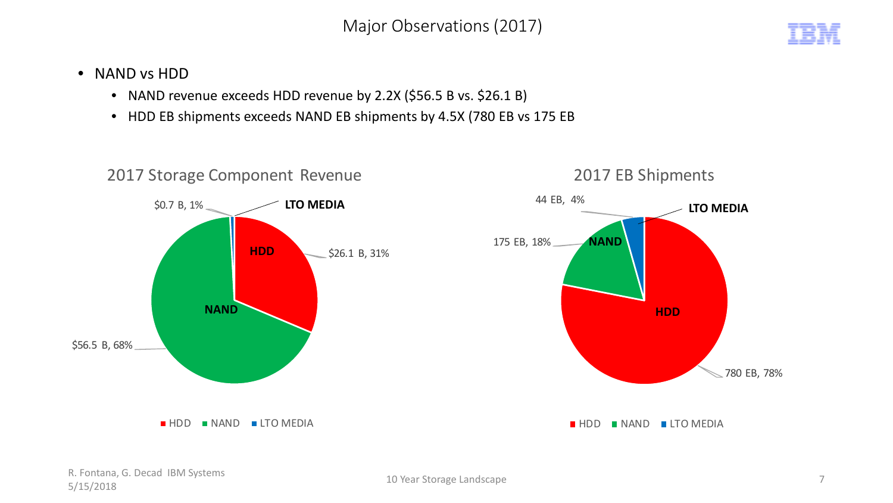Major Observations (2017)



- NAND vs HDD
	- NAND revenue exceeds HDD revenue by 2.2X (\$56.5 B vs. \$26.1 B)
	- HDD EB shipments exceeds NAND EB shipments by 4.5X (780 EB vs 175 EB

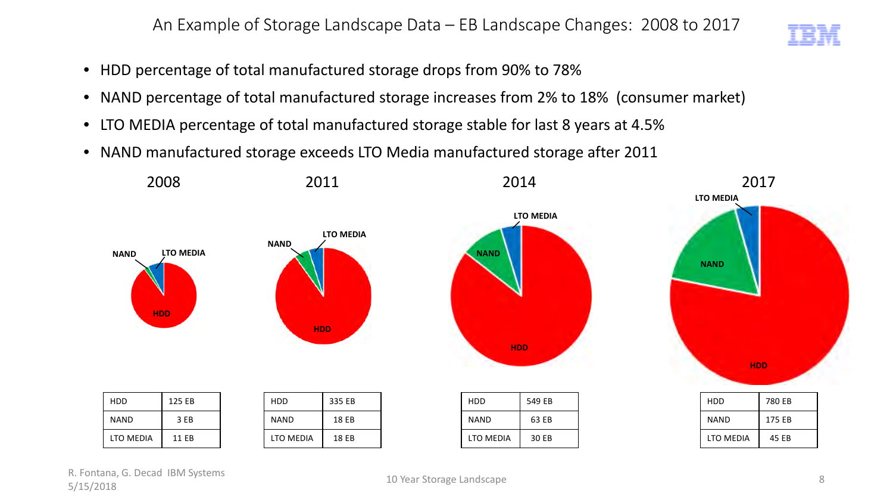An Example of Storage Landscape Data – EB Landscape Changes: 2008 to 2017

- HDD percentage of total manufactured storage drops from 90% to 78%
- NAND percentage of total manufactured storage increases from 2% to 18% (consumer market)
- LTO MEDIA percentage of total manufactured storage stable for last 8 years at 4.5%
- NAND manufactured storage exceeds LTO Media manufactured storage after 2011

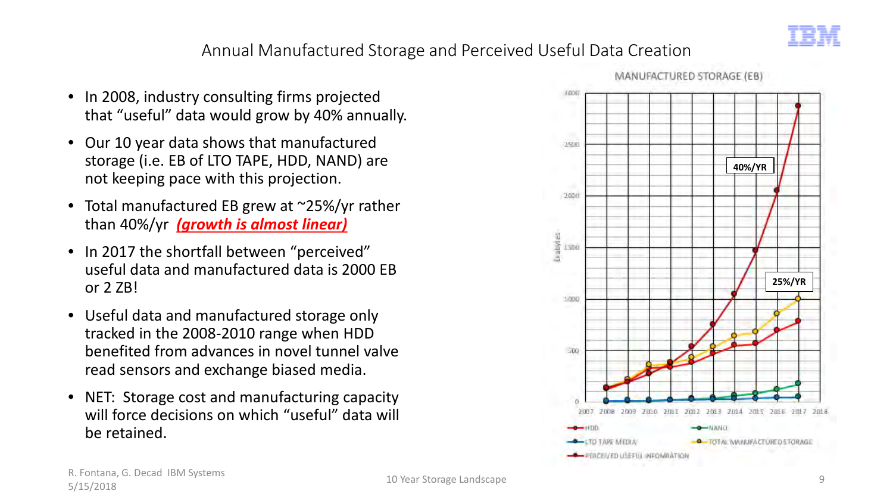

## Annual Manufactured Storage and Perceived Useful Data Creation

- In 2008, industry consulting firms projected that "useful" data would grow by 40% annually.
- Our 10 year data shows that manufactured storage (i.e. EB of LTO TAPE, HDD, NAND) are not keeping pace with this projection.
- Total manufactured EB grew at ~25%/yr rather than 40%/yr *(growth is almost linear)*
- In 2017 the shortfall between "perceived" useful data and manufactured data is 2000 EB or 2 ZB!
- Useful data and manufactured storage only tracked in the 2008-2010 range when HDD benefited from advances in novel tunnel valve read sensors and exchange biased media.
- NET: Storage cost and manufacturing capacity will force decisions on which "useful" data will be retained.



MANUFACTURED STORAGE (EB)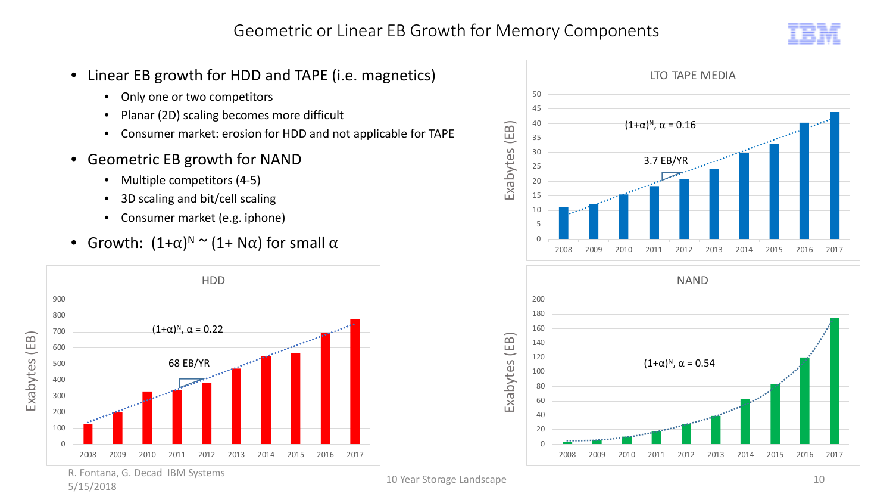

- Linear EB growth for HDD and TAPE (i.e. magnetics)
	- Only one or two competitors
	- Planar (2D) scaling becomes more difficult
	- Consumer market: erosion for HDD and not applicable for TAPE
- Geometric EB growth for NAND
	- Multiple competitors (4-5)
	- 3D scaling and bit/cell scaling
	- Consumer market (e.g. iphone)
- Growth:  $(1+\alpha)^N$   $\sim$   $(1+\mathsf{N}\alpha)$  for small  $\alpha$



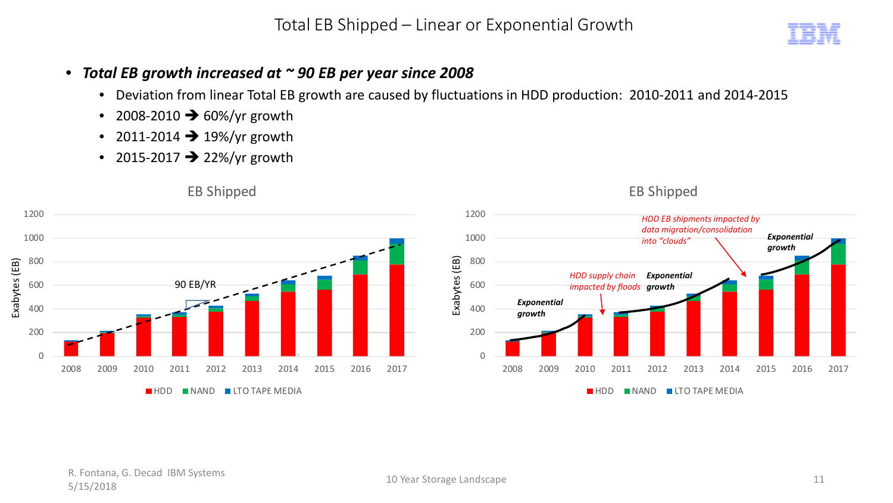Total EB Shipped – Linear or Exponential Growth

#### • *Total EB growth increased at ~ 90 EB per year since 2008*

- Deviation from linear Total EB growth are caused by fluctuations in HDD production: 2010-2011 and 2014-2015
- 2008-2010  $\rightarrow$  60%/yr growth
- 2011-2014  $\rightarrow$  19%/yr growth
- 2015-2017  $\rightarrow$  22%/yr growth

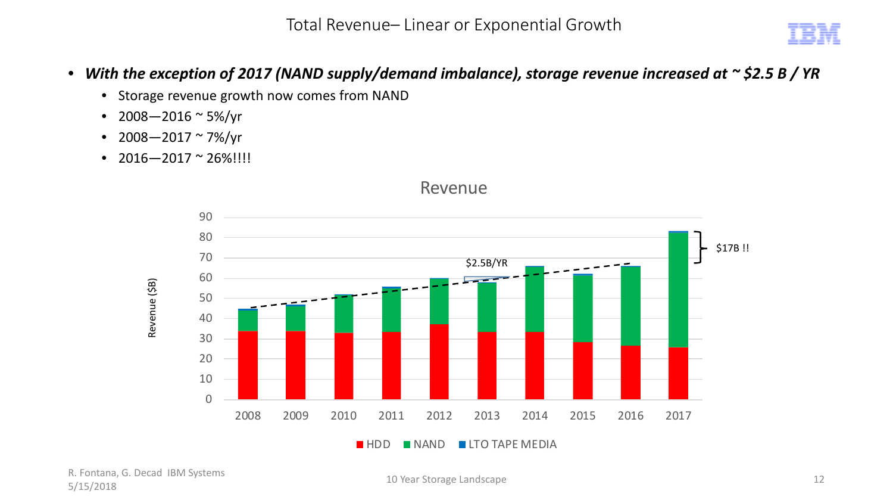Total Revenue– Linear or Exponential Growth

- *With the exception of 2017 (NAND supply/demand imbalance), storage revenue increased at ~ \$2.5 B / YR*
	- Storage revenue growth now comes from NAND
	- 2008 2016  $\sim$  5%/yr
	- 2008  $-$  2017  $\sim$  7%/yr
	- $2016 2017 \approx 26\%$ !!!!



#### Revenue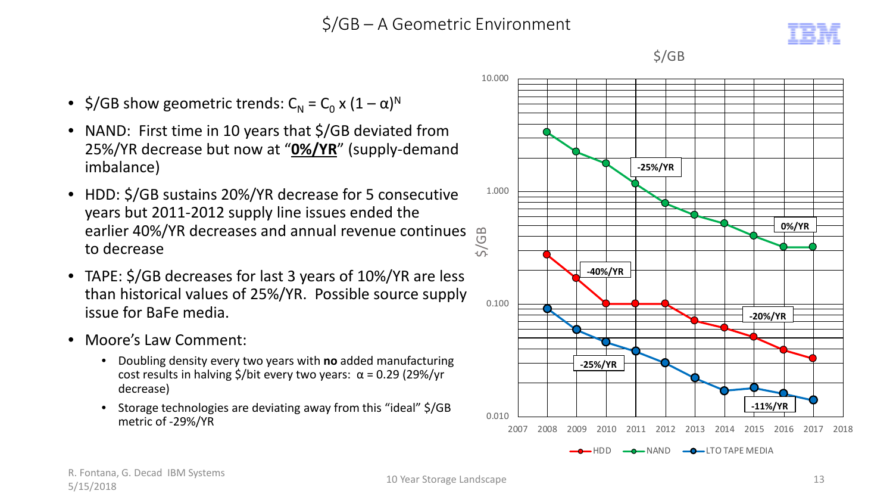## \$/GB – A Geometric Environment



- \$/GB show geometric trends:  $C_{N} = C_{0} x (1 \alpha)^{N}$
- NAND: First time in 10 years that \$/GB deviated from 25%/YR decrease but now at "**0%/YR**" (supply-demand imbalance)
- HDD: \$/GB sustains 20%/YR decrease for 5 consecutive years but 2011-2012 supply line issues ended the earlier 40%/YR decreases and annual revenue continues to decrease
- TAPE: \$/GB decreases for last 3 years of 10%/YR are less than historical values of 25%/YR. Possible source supply issue for BaFe media.
- Moore's Law Comment:
	- Doubling density every two years with **no** added manufacturing cost results in halving \$/bit every two years:  $\alpha$  = 0.29 (29%/yr decrease)
	- Storage technologies are deviating away from this "ideal" \$/GB metric of -29%/YR



\$/GB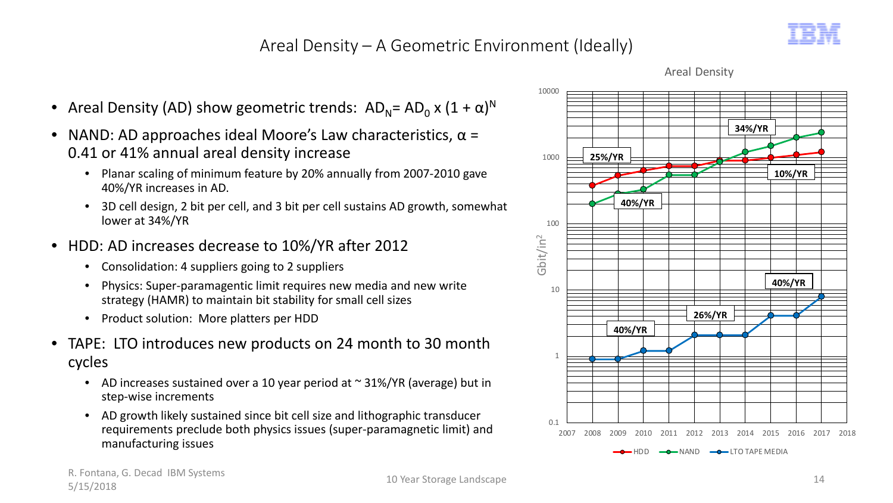## Areal Density – A Geometric Environment (Ideally)





- NAND: AD approaches ideal Moore's Law characteristics,  $\alpha$  = 0.41 or 41% annual areal density increase
	- Planar scaling of minimum feature by 20% annually from 2007-2010 gave 40%/YR increases in AD.
	- 3D cell design, 2 bit per cell, and 3 bit per cell sustains AD growth, somewhat lower at 34%/YR
- HDD: AD increases decrease to 10%/YR after 2012
	- Consolidation: 4 suppliers going to 2 suppliers
	- Physics: Super-paramagentic limit requires new media and new write strategy (HAMR) to maintain bit stability for small cell sizes
	- Product solution: More platters per HDD
- TAPE: LTO introduces new products on 24 month to 30 month cycles
	- AD increases sustained over a 10 year period at  $\sim$  31%/YR (average) but in step-wise increments
	- AD growth likely sustained since bit cell size and lithographic transducer requirements preclude both physics issues (super-paramagnetic limit) and manufacturing issues



Areal Density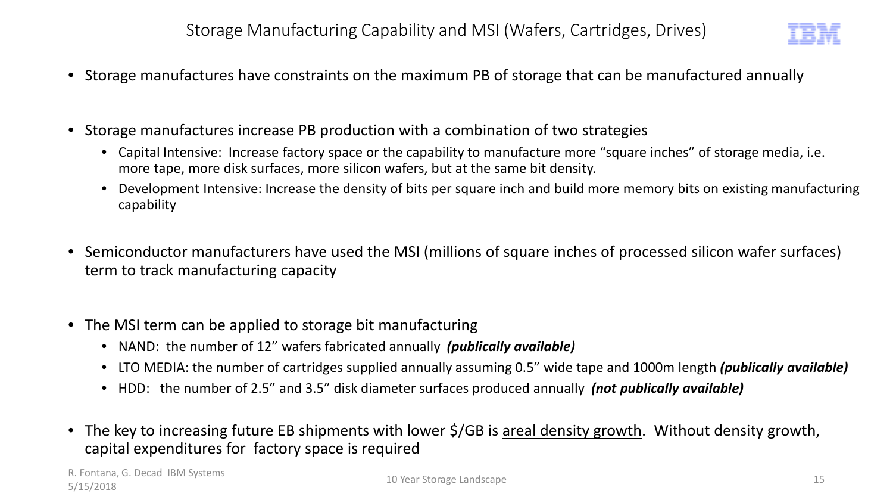

- Storage manufactures have constraints on the maximum PB of storage that can be manufactured annually
- Storage manufactures increase PB production with a combination of two strategies
	- Capital Intensive: Increase factory space or the capability to manufacture more "square inches" of storage media, i.e. more tape, more disk surfaces, more silicon wafers, but at the same bit density.
	- Development Intensive: Increase the density of bits per square inch and build more memory bits on existing manufacturing capability
- Semiconductor manufacturers have used the MSI (millions of square inches of processed silicon wafer surfaces) term to track manufacturing capacity
- The MSI term can be applied to storage bit manufacturing
	- NAND: the number of 12" wafers fabricated annually *(publically available)*
	- LTO MEDIA: the number of cartridges supplied annually assuming 0.5" wide tape and 1000m length *(publically available)*
	- HDD: the number of 2.5" and 3.5" disk diameter surfaces produced annually *(not publically available)*
- The key to increasing future EB shipments with lower \$/GB is areal density growth. Without density growth, capital expenditures for factory space is required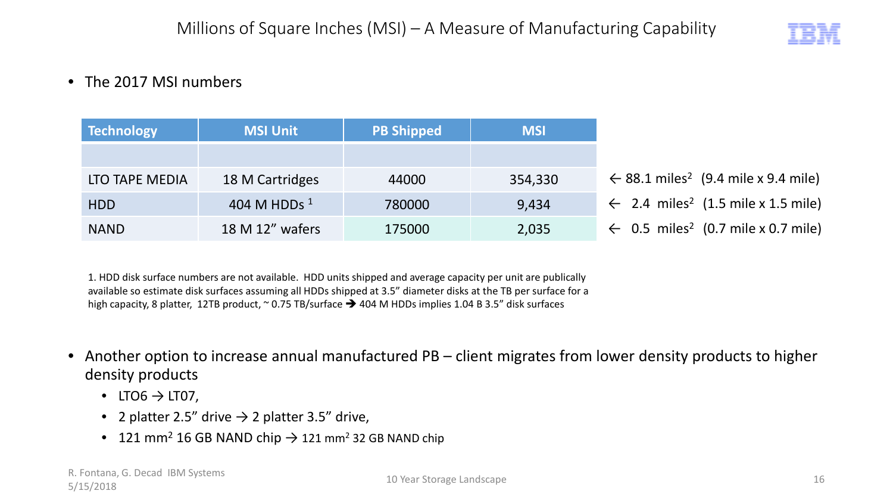

### • The 2017 MSI numbers

| Technology     | <b>MSI Unit</b> | <b>PB Shipped</b> | <b>MSI</b> |                                                            |
|----------------|-----------------|-------------------|------------|------------------------------------------------------------|
|                |                 |                   |            |                                                            |
| LTO TAPE MEDIA | 18 M Cartridges | 44000             | 354,330    | $\leftarrow$ 88.1 miles <sup>2</sup> (9.4 mile x 9.4 mile) |
| <b>HDD</b>     | 404 M HDDs $1$  | 780000            | 9,434      | ← 2.4 miles <sup>2</sup> (1.5 mile x 1.5 mile)             |
| <b>NAND</b>    | 18 M 12" wafers | 175000            | 2,035      | $\leftarrow$ 0.5 miles <sup>2</sup> (0.7 mile x 0.7 mile)  |

1. HDD disk surface numbers are not available. HDD units shipped and average capacity per unit are publically available so estimate disk surfaces assuming all HDDs shipped at 3.5" diameter disks at the TB per surface for a high capacity, 8 platter, 12TB product,  $\sim$  0.75 TB/surface  $\rightarrow$  404 M HDDs implies 1.04 B 3.5" disk surfaces

- Another option to increase annual manufactured PB client migrates from lower density products to higher density products
	- LTO6  $\rightarrow$  LT07,
	- 2 platter 2.5" drive  $\rightarrow$  2 platter 3.5" drive,
	- 121 mm<sup>2</sup> 16 GB NAND chip  $\rightarrow$  121 mm<sup>2</sup> 32 GB NAND chip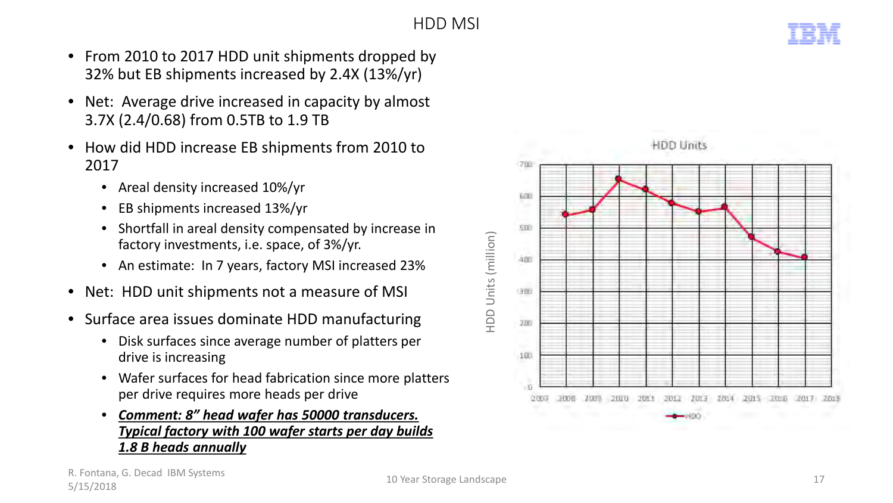## HDD MSI

- From 2010 to 2017 HDD unit shipments dropped by 32% but EB shipments increased by 2.4X (13%/yr)
- Net: Average drive increased in capacity by almost 3.7X (2.4/0.68) from 0.5TB to 1.9 TB
- How did HDD increase EB shipments from 2010 to 2017
	- Areal density increased 10%/yr
	- EB shipments increased 13%/yr
	- Shortfall in areal density compensated by increase in factory investments, i.e. space, of 3%/yr.
	- An estimate: In 7 years, factory MSI increased 23%
- Net: HDD unit shipments not a measure of MSI
- Surface area issues dominate HDD manufacturing
	- Disk surfaces since average number of platters per drive is increasing
	- Wafer surfaces for head fabrication since more platters per drive requires more heads per drive
	- *Comment: 8" head wafer has 50000 transducers. Typical factory with 100 wafer starts per day builds 1.8 B heads annually*



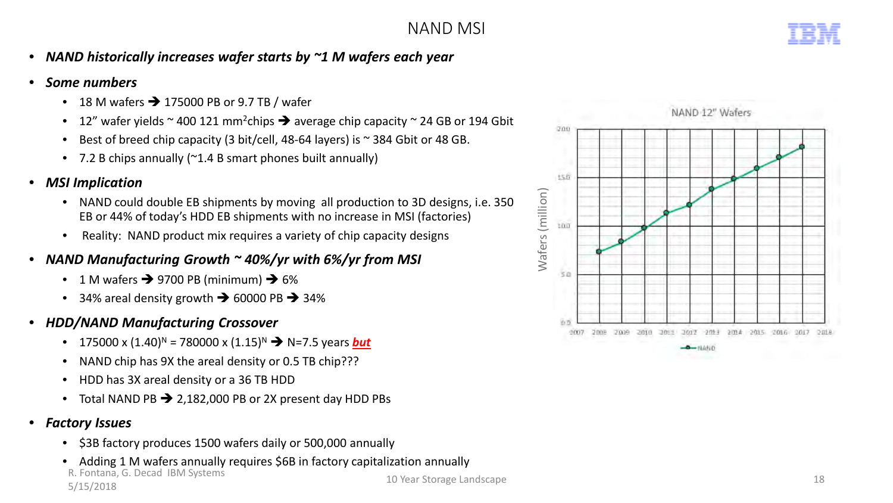- *NAND historically increases wafer starts by ~1 M wafers each year*
- *Some numbers*
	- 18 M wafers  $\rightarrow$  175000 PB or 9.7 TB / wafer
	- 12" wafer yields  $\sim$  400 121 mm<sup>2</sup>chips  $\rightarrow$  average chip capacity  $\sim$  24 GB or 194 Gbit
	- Best of breed chip capacity (3 bit/cell, 48-64 layers) is ~ 384 Gbit or 48 GB.
	- 7.2 B chips annually (~1.4 B smart phones built annually)
- *MSI Implication*
	- NAND could double EB shipments by moving all production to 3D designs, i.e. 350 EB or 44% of today's HDD EB shipments with no increase in MSI (factories)
	- Reality: NAND product mix requires a variety of chip capacity designs
- *NAND Manufacturing Growth ~ 40%/yr with 6%/yr from MSI* 
	- 1 M wafers  $\rightarrow$  9700 PB (minimum)  $\rightarrow$  6%
	- 34% areal density growth  $\rightarrow$  60000 PB  $\rightarrow$  34%
- *HDD/NAND Manufacturing Crossover*
	- 175000 x  $(1.40)^N$  = 780000 x  $(1.15)^N$   $\rightarrow$  N=7.5 years **but**
	- NAND chip has 9X the areal density or 0.5 TB chip???
	- HDD has 3X areal density or a 36 TB HDD
	- Total NAND PB  $\rightarrow$  2,182,000 PB or 2X present day HDD PBs
- *Factory Issues*
	- \$3B factory produces 1500 wafers daily or 500,000 annually
	- Adding 1 M wafers annually requires \$6B in factory capitalization annually

R. Fontana, G. Decad IBM Systems



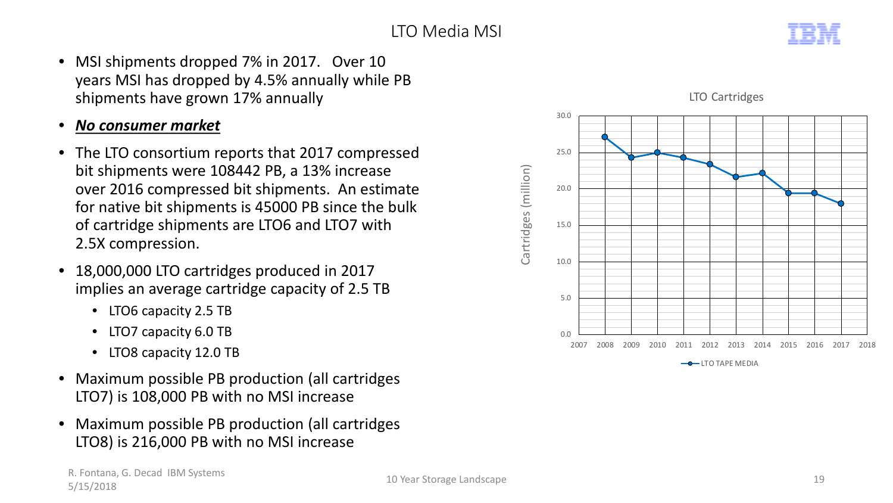

- MSI shipments dropped 7% in 2017. Over 10 years MSI has dropped by 4.5% annually while PB shipments have grown 17% annually
- *No consumer market*
- The LTO consortium reports that 2017 compressed bit shipments were 108442 PB, a 13% increase over 2016 compressed bit shipments. An estimate for native bit shipments is 45000 PB since the bulk of cartridge shipments are LTO6 and LTO7 with 2.5X compression.
- 18,000,000 LTO cartridges produced in 2017 implies an average cartridge capacity of 2.5 TB
	- LTO6 capacity 2.5 TB
	- LTO7 capacity 6.0 TB
	- LTO8 capacity 12.0 TB
- Maximum possible PB production (all cartridges LTO7) is 108,000 PB with no MSI increase
- Maximum possible PB production (all cartridges LTO8) is 216,000 PB with no MSI increase





R. Fontana, G. Decad IBM Systems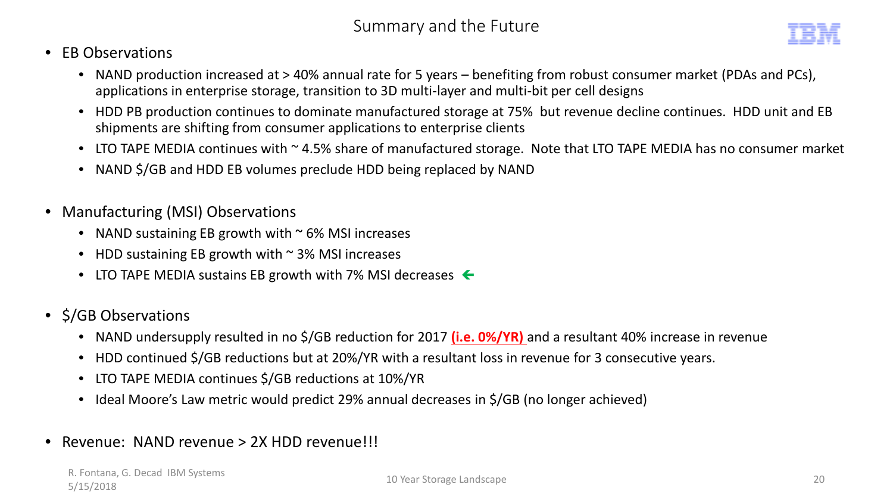- EB Observations
	- NAND production increased at > 40% annual rate for 5 years benefiting from robust consumer market (PDAs and PCs), applications in enterprise storage, transition to 3D multi-layer and multi-bit per cell designs
	- HDD PB production continues to dominate manufactured storage at 75% but revenue decline continues. HDD unit and EB shipments are shifting from consumer applications to enterprise clients
	- LTO TAPE MEDIA continues with ~ 4.5% share of manufactured storage. Note that LTO TAPE MEDIA has no consumer market
	- NAND \$/GB and HDD EB volumes preclude HDD being replaced by NAND
- Manufacturing (MSI) Observations
	- NAND sustaining EB growth with  $\sim$  6% MSI increases
	- HDD sustaining EB growth with  $\sim$  3% MSI increases
	- LTO TAPE MEDIA sustains EB growth with 7% MSI decreases  $\leftarrow$
- \$/GB Observations
	- NAND undersupply resulted in no \$/GB reduction for 2017 **(i.e. 0%/YR)** and a resultant 40% increase in revenue
	- HDD continued \$/GB reductions but at 20%/YR with a resultant loss in revenue for 3 consecutive years.
	- LTO TAPE MEDIA continues \$/GB reductions at 10%/YR
	- Ideal Moore's Law metric would predict 29% annual decreases in \$/GB (no longer achieved)
- Revenue: NAND revenue > 2X HDD revenue!!!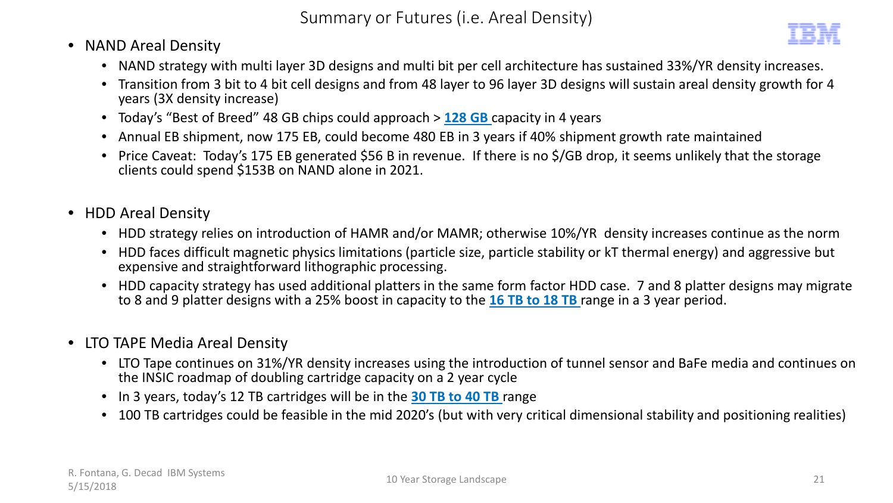- NAND Areal Density
	- NAND strategy with multi layer 3D designs and multi bit per cell architecture has sustained 33%/YR density increases.
	- Transition from 3 bit to 4 bit cell designs and from 48 layer to 96 layer 3D designs will sustain areal density growth for 4 years (3X density increase)
	- Today's "Best of Breed" 48 GB chips could approach > **128 GB** capacity in 4 years
	- Annual EB shipment, now 175 EB, could become 480 EB in 3 years if 40% shipment growth rate maintained
	- Price Caveat: Today's 175 EB generated \$56 B in revenue. If there is no \$/GB drop, it seems unlikely that the storage clients could spend \$153B on NAND alone in 2021.
- HDD Areal Density
	- HDD strategy relies on introduction of HAMR and/or MAMR; otherwise 10%/YR density increases continue as the norm
	- HDD faces difficult magnetic physics limitations (particle size, particle stability or kT thermal energy) and aggressive but expensive and straightforward lithographic processing.
	- HDD capacity strategy has used additional platters in the same form factor HDD case. 7 and 8 platter designs may migrate to 8 and 9 platter designs with a 25% boost in capacity to the **16 TB to 18 TB** range in a 3 year period.
- LTO TAPE Media Areal Density
	- LTO Tape continues on 31%/YR density increases using the introduction of tunnel sensor and BaFe media and continues on the INSIC roadmap of doubling cartridge capacity on a 2 year cycle
	- In 3 years, today's 12 TB cartridges will be in the **30 TB to 40 TB** range
	- 100 TB cartridges could be feasible in the mid 2020's (but with very critical dimensional stability and positioning realities)